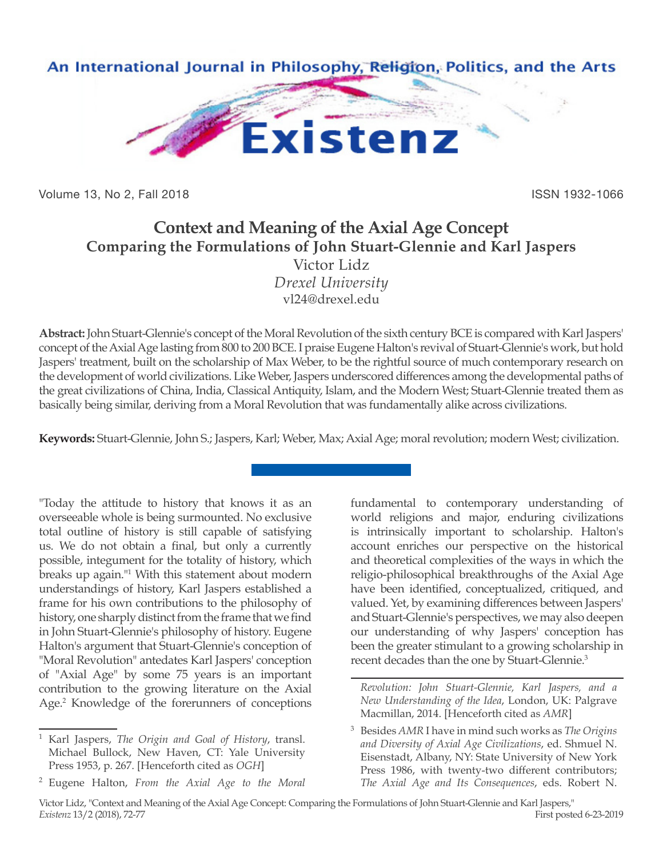

Volume 13, No 2, Fall 2018 ISSN 1932-1066

## **Context and Meaning of the Axial Age Concept Comparing the Formulations of John Stuart-Glennie and Karl Jaspers** Victor Lidz *Drexel University* vl24@drexel.edu

**Abstract:** John Stuart-Glennie's concept of the Moral Revolution of the sixth century BCE is compared with Karl Jaspers' concept of the Axial Age lasting from 800 to 200 BCE. I praise Eugene Halton's revival of Stuart-Glennie's work, but hold Jaspers' treatment, built on the scholarship of Max Weber, to be the rightful source of much contemporary research on the development of world civilizations. Like Weber, Jaspers underscored differences among the developmental paths of the great civilizations of China, India, Classical Antiquity, Islam, and the Modern West; Stuart-Glennie treated them as basically being similar, deriving from a Moral Revolution that was fundamentally alike across civilizations.

**Keywords:** Stuart-Glennie, John S.; Jaspers, Karl; Weber, Max; Axial Age; moral revolution; modern West; civilization.

"Today the attitude to history that knows it as an overseeable whole is being surmounted. No exclusive total outline of history is still capable of satisfying us. We do not obtain a final, but only a currently possible, integument for the totality of history, which breaks up again."1 With this statement about modern understandings of history, Karl Jaspers established a frame for his own contributions to the philosophy of history, one sharply distinct from the frame that we find in John Stuart-Glennie's philosophy of history. Eugene Halton's argument that Stuart-Glennie's conception of "Moral Revolution" antedates Karl Jaspers' conception of "Axial Age" by some 75 years is an important contribution to the growing literature on the Axial Age.<sup>2</sup> Knowledge of the forerunners of conceptions

fundamental to contemporary understanding of world religions and major, enduring civilizations is intrinsically important to scholarship. Halton's account enriches our perspective on the historical and theoretical complexities of the ways in which the religio-philosophical breakthroughs of the Axial Age have been identified, conceptualized, critiqued, and valued. Yet, by examining differences between Jaspers' and Stuart-Glennie's perspectives, we may also deepen our understanding of why Jaspers' conception has been the greater stimulant to a growing scholarship in recent decades than the one by Stuart-Glennie.<sup>3</sup>

<sup>3</sup> Besides *AMR* I have in mind such works as *The Origins and Diversity of Axial Age Civilizations*, ed. Shmuel N. Eisenstadt, Albany, NY: State University of New York Press 1986, with twenty-two different contributors; *The Axial Age and Its Consequences*, eds. Robert N.

<sup>1</sup> Karl Jaspers, *The Origin and Goal of History*, transl. Michael Bullock, New Haven, CT: Yale University Press 1953, p. 267. [Henceforth cited as *OGH*]

<sup>2</sup> Eugene Halton, *From the Axial Age to the Moral* 

*Revolution: John Stuart-Glennie, Karl Jaspers, and a New Understanding of the Idea*, London, UK: Palgrave Macmillan, 2014. [Henceforth cited as *AMR*]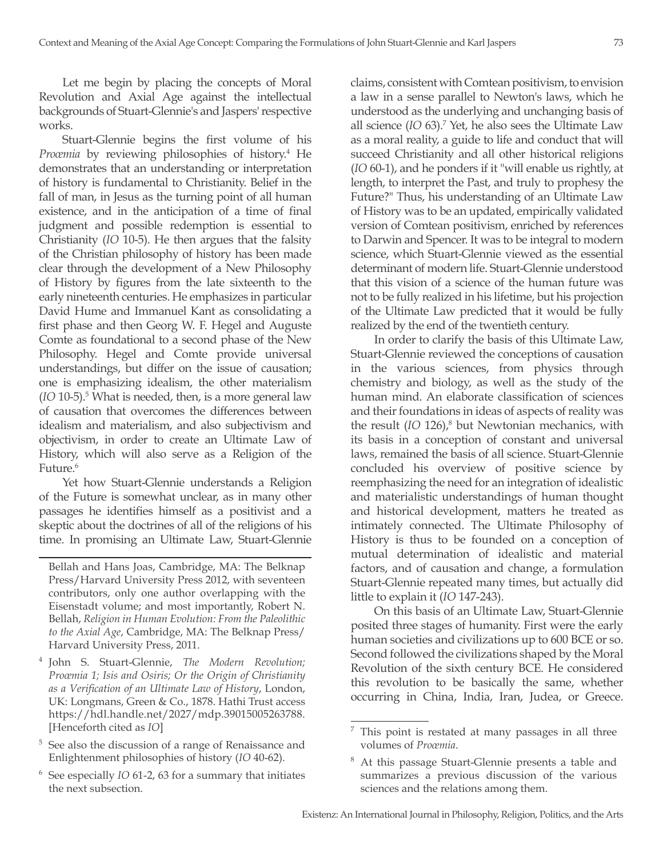Let me begin by placing the concepts of Moral Revolution and Axial Age against the intellectual backgrounds of Stuart-Glennie's and Jaspers' respective works.

Stuart-Glennie begins the first volume of his Proœmia by reviewing philosophies of history.<sup>4</sup> He demonstrates that an understanding or interpretation of history is fundamental to Christianity. Belief in the fall of man, in Jesus as the turning point of all human existence, and in the anticipation of a time of final judgment and possible redemption is essential to Christianity (*IO* 10-5). He then argues that the falsity of the Christian philosophy of history has been made clear through the development of a New Philosophy of History by figures from the late sixteenth to the early nineteenth centuries. He emphasizes in particular David Hume and Immanuel Kant as consolidating a first phase and then Georg W. F. Hegel and Auguste Comte as foundational to a second phase of the New Philosophy. Hegel and Comte provide universal understandings, but differ on the issue of causation; one is emphasizing idealism, the other materialism (*IO* 10-5).5 What is needed, then, is a more general law of causation that overcomes the differences between idealism and materialism, and also subjectivism and objectivism, in order to create an Ultimate Law of History, which will also serve as a Religion of the Future.<sup>6</sup>

Yet how Stuart-Glennie understands a Religion of the Future is somewhat unclear, as in many other passages he identifies himself as a positivist and a skeptic about the doctrines of all of the religions of his time. In promising an Ultimate Law, Stuart-Glennie

Bellah and Hans Joas, Cambridge, MA: The Belknap Press/Harvard University Press 2012, with seventeen contributors, only one author overlapping with the Eisenstadt volume; and most importantly, Robert N. Bellah, *Religion in Human Evolution: From the Paleolithic to the Axial Age*, Cambridge, MA: The Belknap Press/ Harvard University Press, 2011.

- <sup>4</sup> John S. Stuart-Glennie, *The Modern Revolution; Proœmia 1; Isis and Osiris; Or the Origin of Christianity as a Verification of an Ultimate Law of History*, London, UK: Longmans, Green & Co., 1878. Hathi Trust access https://hdl.handle.net/2027/mdp.39015005263788. [Henceforth cited as *IO*]
- <sup>5</sup> See also the discussion of a range of Renaissance and Enlightenment philosophies of history (*IO* 40-62).
- See especially *IO* 61-2, 63 for a summary that initiates the next subsection.

claims, consistent with Comtean positivism, to envision a law in a sense parallel to Newton's laws, which he understood as the underlying and unchanging basis of all science (*IO* 63).<sup>7</sup> Yet, he also sees the Ultimate Law as a moral reality, a guide to life and conduct that will succeed Christianity and all other historical religions (*IO* 60-1), and he ponders if it "will enable us rightly, at length, to interpret the Past, and truly to prophesy the Future?" Thus, his understanding of an Ultimate Law of History was to be an updated, empirically validated version of Comtean positivism, enriched by references to Darwin and Spencer. It was to be integral to modern science, which Stuart-Glennie viewed as the essential determinant of modern life. Stuart-Glennie understood that this vision of a science of the human future was not to be fully realized in his lifetime, but his projection of the Ultimate Law predicted that it would be fully realized by the end of the twentieth century.

In order to clarify the basis of this Ultimate Law, Stuart-Glennie reviewed the conceptions of causation in the various sciences, from physics through chemistry and biology, as well as the study of the human mind. An elaborate classification of sciences and their foundations in ideas of aspects of reality was the result (*IO* 126),<sup>8</sup> but Newtonian mechanics, with its basis in a conception of constant and universal laws, remained the basis of all science. Stuart-Glennie concluded his overview of positive science by reemphasizing the need for an integration of idealistic and materialistic understandings of human thought and historical development, matters he treated as intimately connected. The Ultimate Philosophy of History is thus to be founded on a conception of mutual determination of idealistic and material factors, and of causation and change, a formulation Stuart-Glennie repeated many times, but actually did little to explain it (*IO* 147-243).

On this basis of an Ultimate Law, Stuart-Glennie posited three stages of humanity. First were the early human societies and civilizations up to 600 BCE or so. Second followed the civilizations shaped by the Moral Revolution of the sixth century BCE. He considered this revolution to be basically the same, whether occurring in China, India, Iran, Judea, or Greece.

 $7$  This point is restated at many passages in all three volumes of *Proœmia*.

<sup>8</sup> At this passage Stuart-Glennie presents a table and summarizes a previous discussion of the various sciences and the relations among them.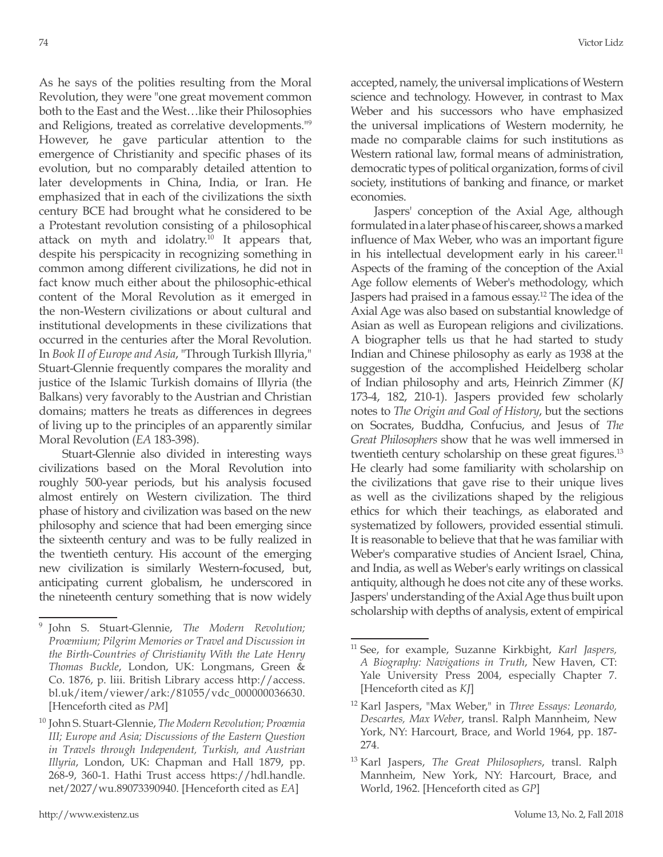As he says of the polities resulting from the Moral Revolution, they were "one great movement common both to the East and the West…like their Philosophies and Religions, treated as correlative developments."9 However, he gave particular attention to the emergence of Christianity and specific phases of its evolution, but no comparably detailed attention to later developments in China, India, or Iran. He emphasized that in each of the civilizations the sixth century BCE had brought what he considered to be a Protestant revolution consisting of a philosophical attack on myth and idolatry.10 It appears that, despite his perspicacity in recognizing something in common among different civilizations, he did not in fact know much either about the philosophic-ethical content of the Moral Revolution as it emerged in the non-Western civilizations or about cultural and institutional developments in these civilizations that occurred in the centuries after the Moral Revolution. In *Book II of Europe and Asia*, "Through Turkish Illyria," Stuart-Glennie frequently compares the morality and justice of the Islamic Turkish domains of Illyria (the Balkans) very favorably to the Austrian and Christian domains; matters he treats as differences in degrees of living up to the principles of an apparently similar Moral Revolution (*EA* 183-398).

Stuart-Glennie also divided in interesting ways civilizations based on the Moral Revolution into roughly 500-year periods, but his analysis focused almost entirely on Western civilization. The third phase of history and civilization was based on the new philosophy and science that had been emerging since the sixteenth century and was to be fully realized in the twentieth century. His account of the emerging new civilization is similarly Western-focused, but, anticipating current globalism, he underscored in the nineteenth century something that is now widely accepted, namely, the universal implications of Western science and technology. However, in contrast to Max Weber and his successors who have emphasized the universal implications of Western modernity, he made no comparable claims for such institutions as Western rational law, formal means of administration, democratic types of political organization, forms of civil society, institutions of banking and finance, or market economies.

Jaspers' conception of the Axial Age, although formulated in a later phase of his career, shows a marked influence of Max Weber, who was an important figure in his intellectual development early in his career.<sup>11</sup> Aspects of the framing of the conception of the Axial Age follow elements of Weber's methodology, which Jaspers had praised in a famous essay.<sup>12</sup> The idea of the Axial Age was also based on substantial knowledge of Asian as well as European religions and civilizations. A biographer tells us that he had started to study Indian and Chinese philosophy as early as 1938 at the suggestion of the accomplished Heidelberg scholar of Indian philosophy and arts, Heinrich Zimmer (*KJ* 173-4, 182, 210-1). Jaspers provided few scholarly notes to *The Origin and Goal of History*, but the sections on Socrates, Buddha, Confucius, and Jesus of *The Great Philosophers* show that he was well immersed in twentieth century scholarship on these great figures.<sup>13</sup> He clearly had some familiarity with scholarship on the civilizations that gave rise to their unique lives as well as the civilizations shaped by the religious ethics for which their teachings, as elaborated and systematized by followers, provided essential stimuli. It is reasonable to believe that that he was familiar with Weber's comparative studies of Ancient Israel, China, and India, as well as Weber's early writings on classical antiquity, although he does not cite any of these works. Jaspers' understanding of the Axial Age thus built upon scholarship with depths of analysis, extent of empirical

<sup>9</sup> John S. Stuart-Glennie, *The Modern Revolution; Proœmium; Pilgrim Memories or Travel and Discussion in the Birth-Countries of Christianity With the Late Henry Thomas Buckle*, London, UK: Longmans, Green & Co. 1876, p. liii. British Library access http://access. bl.uk/item/viewer/ark:/81055/vdc\_000000036630. [Henceforth cited as *PM*]

<sup>10</sup> John S. Stuart-Glennie, *The Modern Revolution; Proœmia III; Europe and Asia; Discussions of the Eastern Question in Travels through Independent, Turkish, and Austrian Illyria*, London, UK: Chapman and Hall 1879, pp. 268-9, 360-1. Hathi Trust access https://hdl.handle. net/2027/wu.89073390940. [Henceforth cited as *EA*]

<sup>11</sup> See, for example, Suzanne Kirkbight, *Karl Jaspers, A Biography: Navigations in Truth*, New Haven, CT: Yale University Press 2004, especially Chapter 7. [Henceforth cited as *KJ*]

<sup>12</sup> Karl Jaspers, "Max Weber," in *Three Essays: Leonardo, Descartes, Max Weber*, transl. Ralph Mannheim, New York, NY: Harcourt, Brace, and World 1964, pp. 187- 274.

<sup>13</sup> Karl Jaspers, *The Great Philosophers*, transl. Ralph Mannheim, New York, NY: Harcourt, Brace, and World, 1962. [Henceforth cited as *GP*]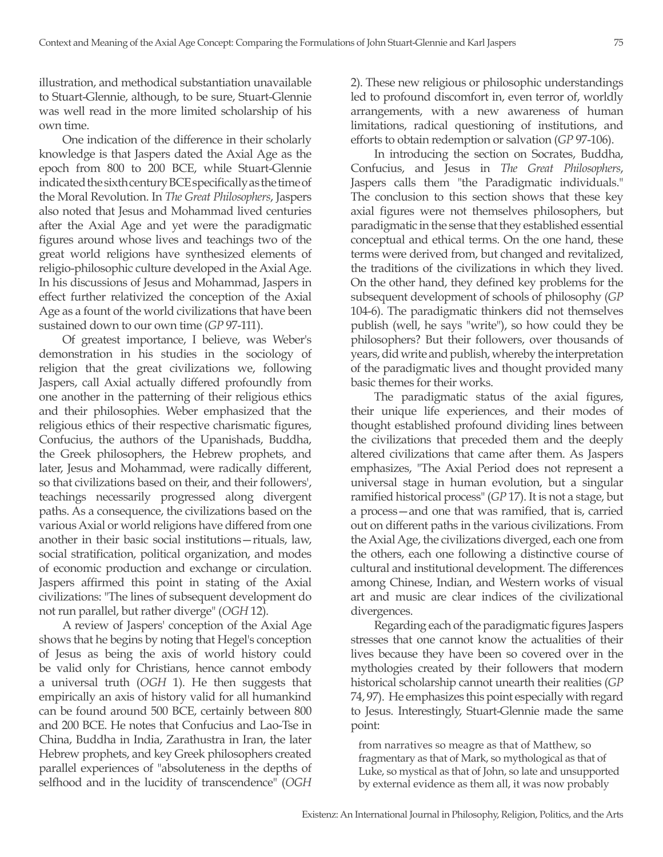illustration, and methodical substantiation unavailable to Stuart-Glennie, although, to be sure, Stuart-Glennie was well read in the more limited scholarship of his own time.

One indication of the difference in their scholarly knowledge is that Jaspers dated the Axial Age as the epoch from 800 to 200 BCE, while Stuart-Glennie indicated the sixth century BCE specifically as the time of the Moral Revolution. In *The Great Philosophers*, Jaspers also noted that Jesus and Mohammad lived centuries after the Axial Age and yet were the paradigmatic figures around whose lives and teachings two of the great world religions have synthesized elements of religio-philosophic culture developed in the Axial Age. In his discussions of Jesus and Mohammad, Jaspers in effect further relativized the conception of the Axial Age as a fount of the world civilizations that have been sustained down to our own time (*GP* 97-111).

Of greatest importance, I believe, was Weber's demonstration in his studies in the sociology of religion that the great civilizations we, following Jaspers, call Axial actually differed profoundly from one another in the patterning of their religious ethics and their philosophies. Weber emphasized that the religious ethics of their respective charismatic figures, Confucius, the authors of the Upanishads, Buddha, the Greek philosophers, the Hebrew prophets, and later, Jesus and Mohammad, were radically different, so that civilizations based on their, and their followers', teachings necessarily progressed along divergent paths. As a consequence, the civilizations based on the various Axial or world religions have differed from one another in their basic social institutions—rituals, law, social stratification, political organization, and modes of economic production and exchange or circulation. Jaspers affirmed this point in stating of the Axial civilizations: "The lines of subsequent development do not run parallel, but rather diverge" (*OGH* 12).

A review of Jaspers' conception of the Axial Age shows that he begins by noting that Hegel's conception of Jesus as being the axis of world history could be valid only for Christians, hence cannot embody a universal truth (*OGH* 1). He then suggests that empirically an axis of history valid for all humankind can be found around 500 BCE, certainly between 800 and 200 BCE. He notes that Confucius and Lao-Tse in China, Buddha in India, Zarathustra in Iran, the later Hebrew prophets, and key Greek philosophers created parallel experiences of "absoluteness in the depths of selfhood and in the lucidity of transcendence" (*OGH* 2). These new religious or philosophic understandings led to profound discomfort in, even terror of, worldly arrangements, with a new awareness of human limitations, radical questioning of institutions, and efforts to obtain redemption or salvation (*GP* 97-106).

In introducing the section on Socrates, Buddha, Confucius, and Jesus in *The Great Philosophers*, Jaspers calls them "the Paradigmatic individuals." The conclusion to this section shows that these key axial figures were not themselves philosophers, but paradigmatic in the sense that they established essential conceptual and ethical terms. On the one hand, these terms were derived from, but changed and revitalized, the traditions of the civilizations in which they lived. On the other hand, they defined key problems for the subsequent development of schools of philosophy (*GP* 104-6). The paradigmatic thinkers did not themselves publish (well, he says "write"), so how could they be philosophers? But their followers, over thousands of years, did write and publish, whereby the interpretation of the paradigmatic lives and thought provided many basic themes for their works.

The paradigmatic status of the axial figures, their unique life experiences, and their modes of thought established profound dividing lines between the civilizations that preceded them and the deeply altered civilizations that came after them. As Jaspers emphasizes, "The Axial Period does not represent a universal stage in human evolution, but a singular ramified historical process" (*GP* 17). It is not a stage, but a process—and one that was ramified, that is, carried out on different paths in the various civilizations. From the Axial Age, the civilizations diverged, each one from the others, each one following a distinctive course of cultural and institutional development. The differences among Chinese, Indian, and Western works of visual art and music are clear indices of the civilizational divergences.

Regarding each of the paradigmatic figures Jaspers stresses that one cannot know the actualities of their lives because they have been so covered over in the mythologies created by their followers that modern historical scholarship cannot unearth their realities (*GP* 74, 97). He emphasizes this point especially with regard to Jesus. Interestingly, Stuart-Glennie made the same point:

from narratives so meagre as that of Matthew, so fragmentary as that of Mark, so mythological as that of Luke, so mystical as that of John, so late and unsupported by external evidence as them all, it was now probably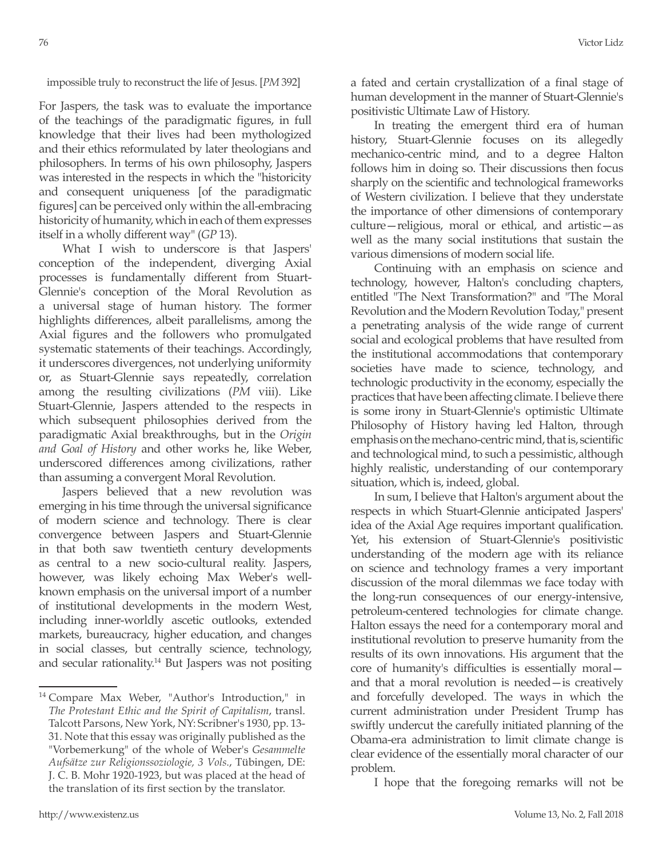impossible truly to reconstruct the life of Jesus. [*PM* 392]

For Jaspers, the task was to evaluate the importance of the teachings of the paradigmatic figures, in full knowledge that their lives had been mythologized and their ethics reformulated by later theologians and philosophers. In terms of his own philosophy, Jaspers was interested in the respects in which the "historicity and consequent uniqueness [of the paradigmatic figures] can be perceived only within the all-embracing historicity of humanity, which in each of them expresses itself in a wholly different way" (*GP* 13).

What I wish to underscore is that Jaspers' conception of the independent, diverging Axial processes is fundamentally different from Stuart-Glennie's conception of the Moral Revolution as a universal stage of human history. The former highlights differences, albeit parallelisms, among the Axial figures and the followers who promulgated systematic statements of their teachings. Accordingly, it underscores divergences, not underlying uniformity or, as Stuart-Glennie says repeatedly, correlation among the resulting civilizations (*PM* viii). Like Stuart-Glennie, Jaspers attended to the respects in which subsequent philosophies derived from the paradigmatic Axial breakthroughs, but in the *Origin and Goal of History* and other works he, like Weber, underscored differences among civilizations, rather than assuming a convergent Moral Revolution.

Jaspers believed that a new revolution was emerging in his time through the universal significance of modern science and technology. There is clear convergence between Jaspers and Stuart-Glennie in that both saw twentieth century developments as central to a new socio-cultural reality. Jaspers, however, was likely echoing Max Weber's wellknown emphasis on the universal import of a number of institutional developments in the modern West, including inner-worldly ascetic outlooks, extended markets, bureaucracy, higher education, and changes in social classes, but centrally science, technology, and secular rationality.14 But Jaspers was not positing a fated and certain crystallization of a final stage of human development in the manner of Stuart-Glennie's positivistic Ultimate Law of History.

In treating the emergent third era of human history, Stuart-Glennie focuses on its allegedly mechanico-centric mind, and to a degree Halton follows him in doing so. Their discussions then focus sharply on the scientific and technological frameworks of Western civilization. I believe that they understate the importance of other dimensions of contemporary culture—religious, moral or ethical, and artistic—as well as the many social institutions that sustain the various dimensions of modern social life.

Continuing with an emphasis on science and technology, however, Halton's concluding chapters, entitled "The Next Transformation?" and "The Moral Revolution and the Modern Revolution Today," present a penetrating analysis of the wide range of current social and ecological problems that have resulted from the institutional accommodations that contemporary societies have made to science, technology, and technologic productivity in the economy, especially the practices that have been affecting climate. I believe there is some irony in Stuart-Glennie's optimistic Ultimate Philosophy of History having led Halton, through emphasis on the mechano-centric mind, that is, scientific and technological mind, to such a pessimistic, although highly realistic, understanding of our contemporary situation, which is, indeed, global.

In sum, I believe that Halton's argument about the respects in which Stuart-Glennie anticipated Jaspers' idea of the Axial Age requires important qualification. Yet, his extension of Stuart-Glennie's positivistic understanding of the modern age with its reliance on science and technology frames a very important discussion of the moral dilemmas we face today with the long-run consequences of our energy-intensive, petroleum-centered technologies for climate change. Halton essays the need for a contemporary moral and institutional revolution to preserve humanity from the results of its own innovations. His argument that the core of humanity's difficulties is essentially moral and that a moral revolution is needed—is creatively and forcefully developed. The ways in which the current administration under President Trump has swiftly undercut the carefully initiated planning of the Obama-era administration to limit climate change is clear evidence of the essentially moral character of our problem.

I hope that the foregoing remarks will not be

<sup>14</sup> Compare Max Weber, "Author's Introduction," in *The Protestant Ethic and the Spirit of Capitalism*, transl. Talcott Parsons, New York, NY: Scribner's 1930, pp. 13- 31. Note that this essay was originally published as the "Vorbemerkung" of the whole of Weber's *Gesammelte Aufsätze zur Religionssoziologie, 3 Vols.*, Tübingen, DE: J. C. B. Mohr 1920-1923, but was placed at the head of the translation of its first section by the translator.